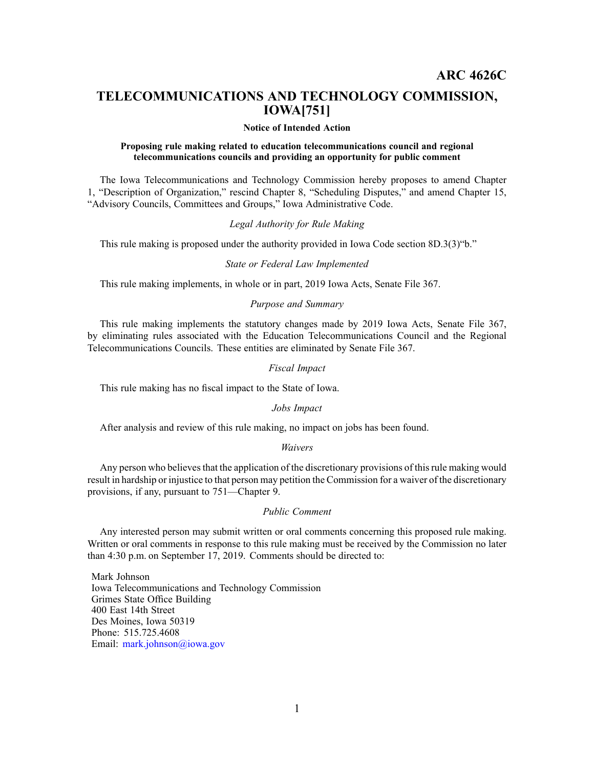# **TELECOMMUNICATIONS AND TECHNOLOGY COMMISSION, IOWA[751]**

### **Notice of Intended Action**

## **Proposing rule making related to education telecommunications council and regional telecommunications councils and providing an opportunity for public comment**

The Iowa Telecommunications and Technology Commission hereby proposes to amend Chapter 1, "Description of Organization," rescind Chapter 8, "Scheduling Disputes," and amend Chapter 15, "Advisory Councils, Committees and Groups," Iowa Administrative Code.

# *Legal Authority for Rule Making*

This rule making is proposed under the authority provided in Iowa Code section 8D.3(3)"b."

#### *State or Federal Law Implemented*

This rule making implements, in whole or in part, 2019 Iowa Acts, Senate File 367.

# *Purpose and Summary*

This rule making implements the statutory changes made by 2019 Iowa Acts, Senate File 367, by eliminating rules associated with the Education Telecommunications Council and the Regional Telecommunications Councils. These entities are eliminated by Senate File 367.

# *Fiscal Impact*

This rule making has no fiscal impact to the State of Iowa.

#### *Jobs Impact*

After analysis and review of this rule making, no impact on jobs has been found.

## *Waivers*

Any person who believes that the application of the discretionary provisions of this rule making would result in hardship or injustice to that person may petition the Commission for <sup>a</sup> waiver of the discretionary provisions, if any, pursuan<sup>t</sup> to 751—Chapter 9.

# *Public Comment*

Any interested person may submit written or oral comments concerning this proposed rule making. Written or oral comments in response to this rule making must be received by the Commission no later than 4:30 p.m. on September 17, 2019. Comments should be directed to:

Mark Johnson Iowa Telecommunications and Technology Commission Grimes State Office Building 400 East 14th Street Des Moines, Iowa 50319 Phone: 515.725.4608 Email: [mark.johnson@iowa.gov](mailto:mark.johnson@iowa.gov)